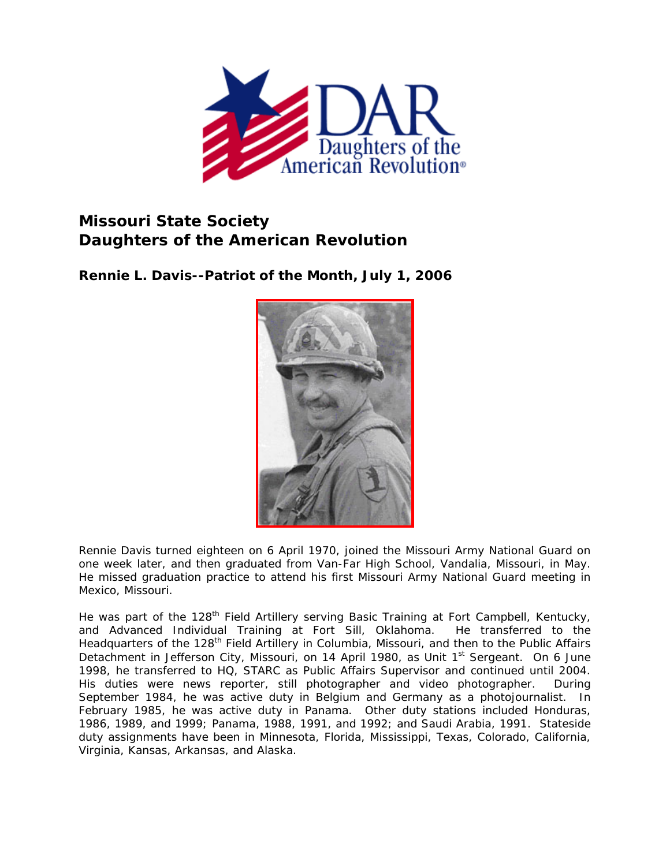

## **Missouri State Society Daughters of the American Revolution**

**Rennie L. Davis--Patriot of the Month, July 1, 2006** 



Rennie Davis turned eighteen on 6 April 1970, joined the Missouri Army National Guard on one week later, and then graduated from Van-Far High School, Vandalia, Missouri, in May. He missed graduation practice to attend his first Missouri Army National Guard meeting in Mexico, Missouri.

He was part of the 128<sup>th</sup> Field Artillery serving Basic Training at Fort Campbell, Kentucky, and Advanced Individual Training at Fort Sill, Oklahoma. He transferred to the Headquarters of the 128<sup>th</sup> Field Artillery in Columbia, Missouri, and then to the Public Affairs Detachment in Jefferson City, Missouri, on 14 April 1980, as Unit 1<sup>st</sup> Sergeant. On 6 June 1998, he transferred to HQ, STARC as Public Affairs Supervisor and continued until 2004. His duties were news reporter, still photographer and video photographer. During September 1984, he was active duty in Belgium and Germany as a photojournalist. In February 1985, he was active duty in Panama. Other duty stations included Honduras, 1986, 1989, and 1999; Panama, 1988, 1991, and 1992; and Saudi Arabia, 1991. Stateside duty assignments have been in Minnesota, Florida, Mississippi, Texas, Colorado, California, Virginia, Kansas, Arkansas, and Alaska.